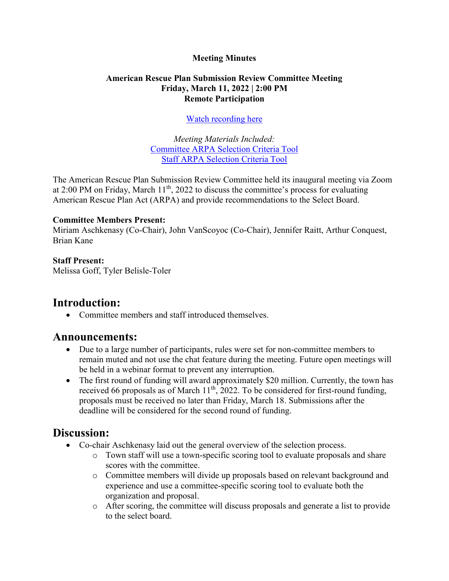#### **Meeting Minutes**

#### **American Rescue Plan Submission Review Committee Meeting Friday, March 11, 2022 | 2:00 PM Remote Participation**

#### [Watch recording here](https://brooklinema.zoomgov.com/rec/share/finOGyn6b5EOyY4fiYzUyzMxaqnx0yqkJ2XPyXYEdR9-_D2QhN0M8lhNSQHSEjPd.oJf1okx1HPFPPpLW?startTime=1647025587000%20(Passcode:%203yBp%25Y6W))

*Meeting Materials Included:* [Committee ARPA Selection Criteria Tool](https://www.brooklinema.gov/DocumentCenter/View/29717/Committee-ARPA-Selection-Criteria-Tool) [Staff ARPA Selection](https://www.brooklinema.gov/DocumentCenter/View/29716/Staff-ARPA-Selection-Criteria-Tool) Criteria Tool

The American Rescue Plan Submission Review Committee held its inaugural meeting via Zoom at  $2:00$  PM on Friday, March  $11<sup>th</sup>$ ,  $2022$  to discuss the committee's process for evaluating American Rescue Plan Act (ARPA) and provide recommendations to the Select Board.

#### **Committee Members Present:**

Miriam Aschkenasy (Co-Chair), John VanScoyoc (Co-Chair), Jennifer Raitt, Arthur Conquest, Brian Kane

#### **Staff Present:**

Melissa Goff, Tyler Belisle-Toler

## **Introduction:**

• Committee members and staff introduced themselves.

### **Announcements:**

- Due to a large number of participants, rules were set for non-committee members to remain muted and not use the chat feature during the meeting. Future open meetings will be held in a webinar format to prevent any interruption.
- The first round of funding will award approximately \$20 million. Currently, the town has received 66 proposals as of March  $11<sup>th</sup>$ , 2022. To be considered for first-round funding, proposals must be received no later than Friday, March 18. Submissions after the deadline will be considered for the second round of funding.

## **Discussion:**

- Co-chair Aschkenasy laid out the general overview of the selection process.
	- o Town staff will use a town-specific scoring tool to evaluate proposals and share scores with the committee.
	- o Committee members will divide up proposals based on relevant background and experience and use a committee-specific scoring tool to evaluate both the organization and proposal.
	- o After scoring, the committee will discuss proposals and generate a list to provide to the select board.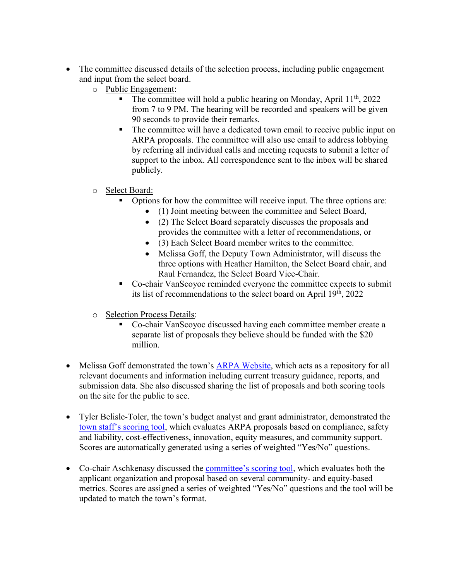- The committee discussed details of the selection process, including public engagement and input from the select board.
	- o Public Engagement:
		- The committee will hold a public hearing on Monday, April  $11<sup>th</sup>$ , 2022 from 7 to 9 PM. The hearing will be recorded and speakers will be given 90 seconds to provide their remarks.
		- The committee will have a dedicated town email to receive public input on ARPA proposals. The committee will also use email to address lobbying by referring all individual calls and meeting requests to submit a letter of support to the inbox. All correspondence sent to the inbox will be shared publicly.
	- o Select Board:
		- Options for how the committee will receive input. The three options are:
			- (1) Joint meeting between the committee and Select Board,
			- (2) The Select Board separately discusses the proposals and provides the committee with a letter of recommendations, or
			- (3) Each Select Board member writes to the committee.
			- Melissa Goff, the Deputy Town Administrator, will discuss the three options with Heather Hamilton, the Select Board chair, and Raul Fernandez, the Select Board Vice-Chair.
		- Co-chair VanScoyoc reminded everyone the committee expects to submit its list of recommendations to the select board on April  $19<sup>th</sup>$ , 2022
	- o Selection Process Details:
		- Co-chair VanScoyoc discussed having each committee member create a separate list of proposals they believe should be funded with the \$20 million.
- Melissa Goff demonstrated the town's **ARPA Website**, which acts as a repository for all relevant documents and information including current treasury guidance, reports, and submission data. She also discussed sharing the list of proposals and both scoring tools on the site for the public to see.
- Tyler Belisle-Toler, the town's budget analyst and grant administrator, demonstrated the town staff['s scoring tool](https://www.brooklinema.gov/DocumentCenter/View/29716/Staff-ARPA-Selection-Criteria-Tool), which evaluates ARPA proposals based on compliance, safety and liability, cost-effectiveness, innovation, equity measures, and community support. Scores are automatically generated using a series of weighted "Yes/No" questions.
- Co-chair Aschkenasy discussed the [committee's scoring tool](https://www.brooklinema.gov/DocumentCenter/View/29717/Committee-ARPA-Selection-Criteria-Tool), which evaluates both the applicant organization and proposal based on several community- and equity-based metrics. Scores are assigned a series of weighted "Yes/No" questions and the tool will be updated to match the town's format.